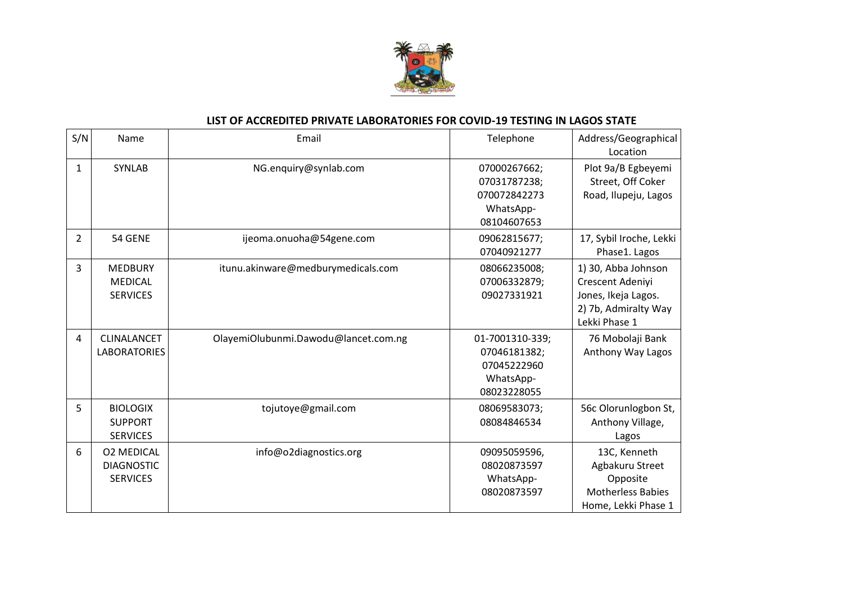

## **LIST OF ACCREDITED PRIVATE LABORATORIES FOR COVID-19 TESTING IN LAGOS STATE**

| S/N            | Name                                                      | Email                                | Telephone                                                                  | Address/Geographical<br>Location                                                                        |
|----------------|-----------------------------------------------------------|--------------------------------------|----------------------------------------------------------------------------|---------------------------------------------------------------------------------------------------------|
| $\mathbf{1}$   | <b>SYNLAB</b>                                             | NG.enquiry@synlab.com                | 07000267662;<br>07031787238;<br>070072842273<br>WhatsApp-<br>08104607653   | Plot 9a/B Egbeyemi<br>Street, Off Coker<br>Road, Ilupeju, Lagos                                         |
| 2              | 54 GENE                                                   | ijeoma.onuoha@54gene.com             | 09062815677;<br>07040921277                                                | 17, Sybil Iroche, Lekki<br>Phase1. Lagos                                                                |
| 3              | <b>MEDBURY</b><br><b>MEDICAL</b><br><b>SERVICES</b>       | itunu.akinware@medburymedicals.com   | 08066235008;<br>07006332879;<br>09027331921                                | 1) 30, Abba Johnson<br>Crescent Adeniyi<br>Jones, Ikeja Lagos.<br>2) 7b, Admiralty Way<br>Lekki Phase 1 |
| $\overline{4}$ | CLINALANCET<br><b>LABORATORIES</b>                        | OlayemiOlubunmi.Dawodu@lancet.com.ng | 01-7001310-339;<br>07046181382;<br>07045222960<br>WhatsApp-<br>08023228055 | 76 Mobolaji Bank<br>Anthony Way Lagos                                                                   |
| 5              | <b>BIOLOGIX</b><br><b>SUPPORT</b><br><b>SERVICES</b>      | tojutoye@gmail.com                   | 08069583073;<br>08084846534                                                | 56c Olorunlogbon St,<br>Anthony Village,<br>Lagos                                                       |
| 6              | <b>02 MEDICAL</b><br><b>DIAGNOSTIC</b><br><b>SERVICES</b> | info@o2diagnostics.org               | 09095059596,<br>08020873597<br>WhatsApp-<br>08020873597                    | 13C, Kenneth<br>Agbakuru Street<br>Opposite<br><b>Motherless Babies</b><br>Home, Lekki Phase 1          |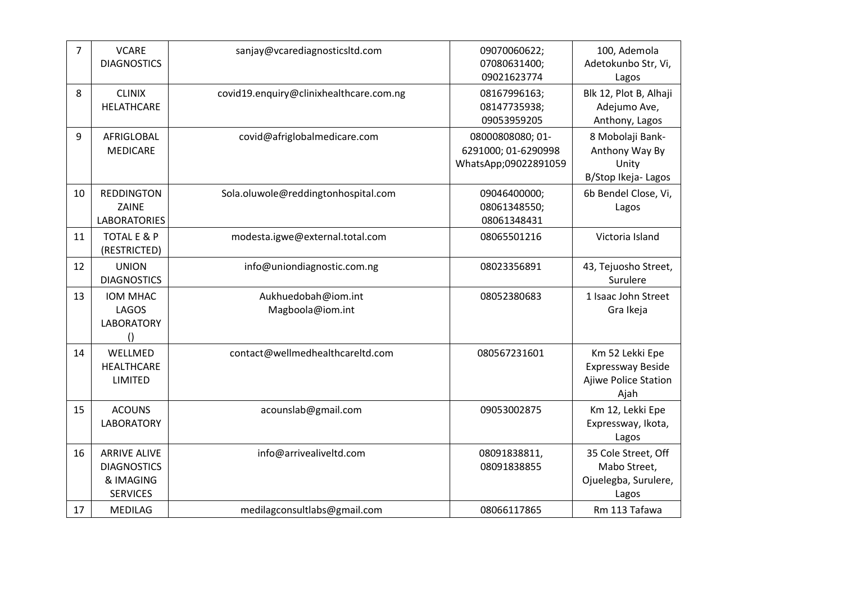| $\overline{7}$ | <b>VCARE</b><br><b>DIAGNOSTICS</b>                                        | sanjay@vcarediagnosticsltd.com          | 09070060622;<br>07080631400;<br>09021623774                     | 100, Ademola<br>Adetokunbo Str, Vi,<br>Lagos                                |
|----------------|---------------------------------------------------------------------------|-----------------------------------------|-----------------------------------------------------------------|-----------------------------------------------------------------------------|
| 8              | <b>CLINIX</b><br>HELATHCARE                                               | covid19.enquiry@clinixhealthcare.com.ng | 08167996163;<br>08147735938;<br>09053959205                     | Blk 12, Plot B, Alhaji<br>Adejumo Ave,<br>Anthony, Lagos                    |
| 9              | AFRIGLOBAL<br><b>MEDICARE</b>                                             | covid@afriglobalmedicare.com            | 08000808080; 01-<br>6291000; 01-6290998<br>WhatsApp;09022891059 | 8 Mobolaji Bank-<br>Anthony Way By<br>Unity<br>B/Stop Ikeja- Lagos          |
| 10             | <b>REDDINGTON</b><br>ZAINE<br><b>LABORATORIES</b>                         | Sola.oluwole@reddingtonhospital.com     | 09046400000;<br>08061348550;<br>08061348431                     | 6b Bendel Close, Vi,<br>Lagos                                               |
| 11             | TOTAL E & P<br>(RESTRICTED)                                               | modesta.igwe@external.total.com         | 08065501216                                                     | Victoria Island                                                             |
| 12             | <b>UNION</b><br><b>DIAGNOSTICS</b>                                        | info@uniondiagnostic.com.ng             | 08023356891                                                     | 43, Tejuosho Street,<br>Surulere                                            |
| 13             | IOM MHAC<br><b>LAGOS</b><br><b>LABORATORY</b><br>$\left( \right)$         | Aukhuedobah@iom.int<br>Magboola@iom.int | 08052380683                                                     | 1 Isaac John Street<br>Gra Ikeja                                            |
| 14             | WELLMED<br><b>HEALTHCARE</b><br>LIMITED                                   | contact@wellmedhealthcareltd.com        | 080567231601                                                    | Km 52 Lekki Epe<br><b>Expressway Beside</b><br>Ajiwe Police Station<br>Ajah |
| 15             | <b>ACOUNS</b><br><b>LABORATORY</b>                                        | acounslab@gmail.com                     | 09053002875                                                     | Km 12, Lekki Epe<br>Expressway, Ikota,<br>Lagos                             |
| 16             | <b>ARRIVE ALIVE</b><br><b>DIAGNOSTICS</b><br>& IMAGING<br><b>SERVICES</b> | info@arrivealiveltd.com                 | 08091838811,<br>08091838855                                     | 35 Cole Street, Off<br>Mabo Street,<br>Ojuelegba, Surulere,<br>Lagos        |
| 17             | <b>MEDILAG</b>                                                            | medilagconsultlabs@gmail.com            | 08066117865                                                     | Rm 113 Tafawa                                                               |